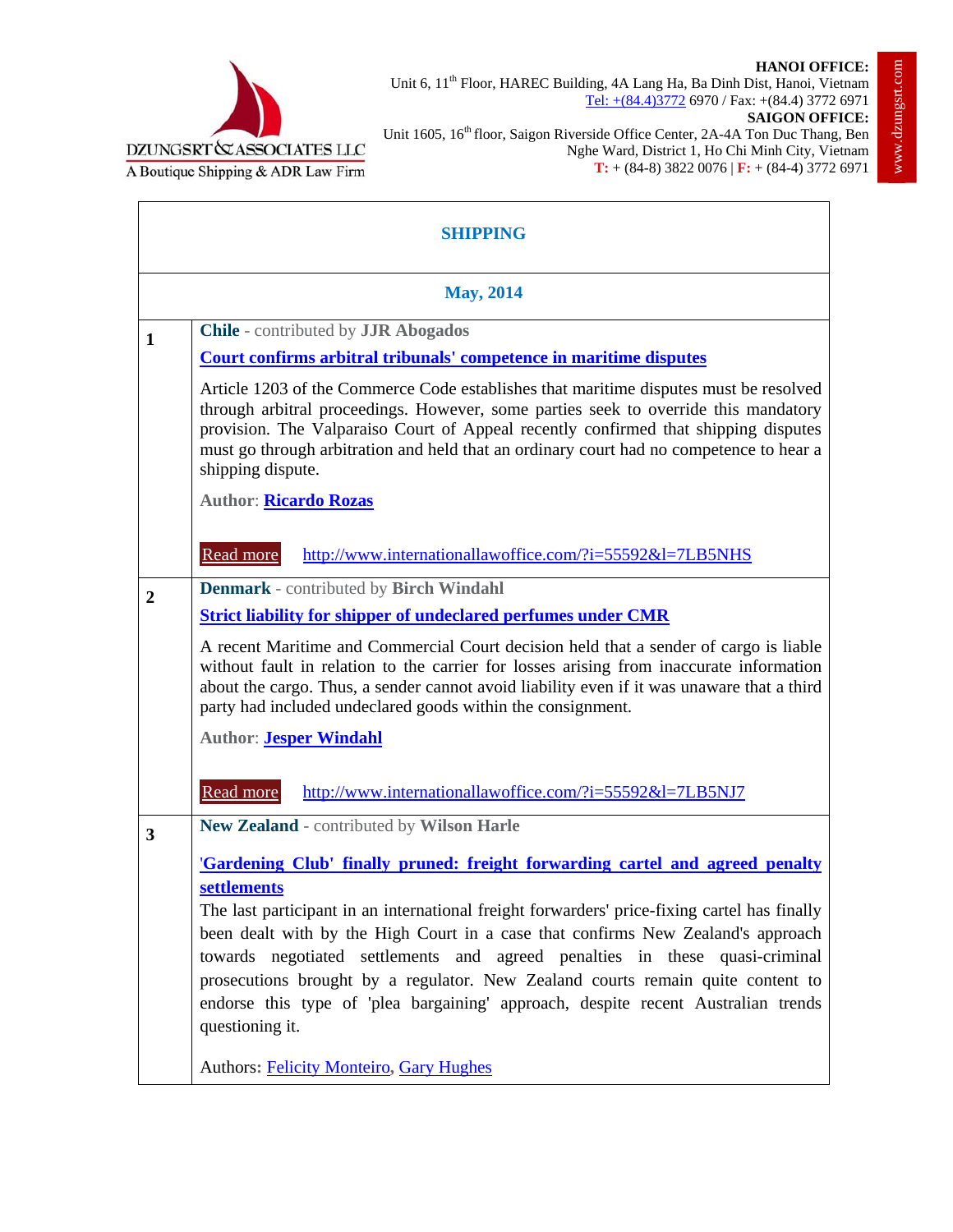



Unit 6, 11<sup>th</sup> Floor, HAREC Building, 4A Lang Ha, Ba Dinh Dist, Hanoi, Vietnam Tel: +(84.4)3772 6970 / Fax: +(84.4) 3772 6971

**SAIGON OFFICE:** Unit 1605, 16<sup>th</sup> floor, Saigon Riverside Office Center, 2A-4A Ton Duc Thang, Ben Nghe Ward, District 1, Ho Chi Minh City, Vietnam **T:** + (84-8) 3822 0076 | **F:** + (84-4) 3772 6971

| <b>SHIPPING</b>  |                                                                                                                                                                                                                                                                                                                                                                                     |  |
|------------------|-------------------------------------------------------------------------------------------------------------------------------------------------------------------------------------------------------------------------------------------------------------------------------------------------------------------------------------------------------------------------------------|--|
| <b>May, 2014</b> |                                                                                                                                                                                                                                                                                                                                                                                     |  |
| 1                | <b>Chile</b> - contributed by <b>JJR</b> Abogados                                                                                                                                                                                                                                                                                                                                   |  |
|                  | <b>Court confirms arbitral tribunals' competence in maritime disputes</b>                                                                                                                                                                                                                                                                                                           |  |
|                  | Article 1203 of the Commerce Code establishes that maritime disputes must be resolved<br>through arbitral proceedings. However, some parties seek to override this mandatory<br>provision. The Valparaiso Court of Appeal recently confirmed that shipping disputes<br>must go through arbitration and held that an ordinary court had no competence to hear a<br>shipping dispute. |  |
|                  | <b>Author: Ricardo Rozas</b>                                                                                                                                                                                                                                                                                                                                                        |  |
|                  | Read more<br>http://www.internationallawoffice.com/?i=55592&l=7LB5NHS                                                                                                                                                                                                                                                                                                               |  |
| $\overline{2}$   | <b>Denmark</b> - contributed by Birch Windahl                                                                                                                                                                                                                                                                                                                                       |  |
|                  | <b>Strict liability for shipper of undeclared perfumes under CMR</b>                                                                                                                                                                                                                                                                                                                |  |
|                  | A recent Maritime and Commercial Court decision held that a sender of cargo is liable<br>without fault in relation to the carrier for losses arising from inaccurate information<br>about the cargo. Thus, a sender cannot avoid liability even if it was unaware that a third<br>party had included undeclared goods within the consignment.                                       |  |
|                  | <b>Author: Jesper Windahl</b>                                                                                                                                                                                                                                                                                                                                                       |  |
|                  | Read more<br>http://www.internationallawoffice.com/?i=55592&l=7LB5NJ7                                                                                                                                                                                                                                                                                                               |  |
| $\mathbf{3}$     | New Zealand - contributed by Wilson Harle                                                                                                                                                                                                                                                                                                                                           |  |
|                  | 'Gardening Club' finally pruned: freight forwarding cartel and agreed penalty                                                                                                                                                                                                                                                                                                       |  |
|                  | settlements                                                                                                                                                                                                                                                                                                                                                                         |  |
|                  | The last participant in an international freight forwarders' price-fixing cartel has finally                                                                                                                                                                                                                                                                                        |  |
|                  | been dealt with by the High Court in a case that confirms New Zealand's approach<br>towards negotiated settlements and agreed penalties in these quasi-criminal                                                                                                                                                                                                                     |  |
|                  | prosecutions brought by a regulator. New Zealand courts remain quite content to<br>endorse this type of 'plea bargaining' approach, despite recent Australian trends<br>questioning it.                                                                                                                                                                                             |  |
|                  | <b>Authors: Felicity Monteiro, Gary Hughes</b>                                                                                                                                                                                                                                                                                                                                      |  |